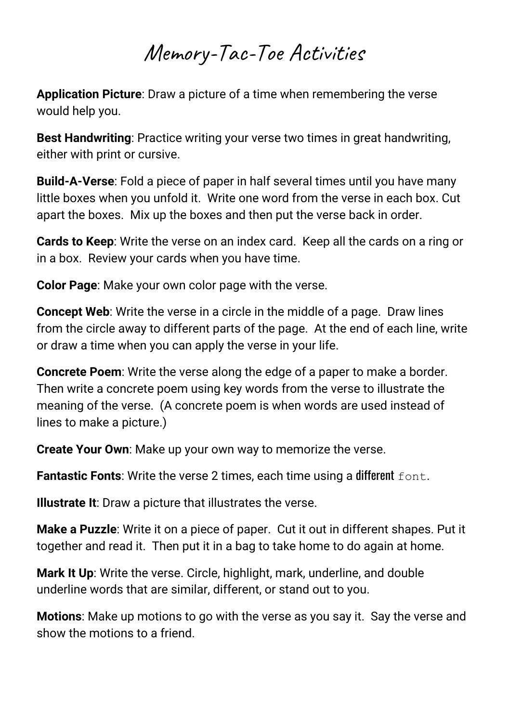## Memory-Tac-Toe Activities

**Application Picture**: Draw a picture of a time when remembering the verse would help you.

**Best Handwriting**: Practice writing your verse two times in great handwriting, either with print or cursive.

**Build-A-Verse**: Fold a piece of paper in half several times until you have many little boxes when you unfold it. Write one word from the verse in each box. Cut apart the boxes. Mix up the boxes and then put the verse back in order.

**Cards to Keep**: Write the verse on an index card. Keep all the cards on a ring or in a box. Review your cards when you have time.

**Color Page**: Make your own color page with the verse.

**Concept Web**: Write the verse in a circle in the middle of a page. Draw lines from the circle away to different parts of the page. At the end of each line, write or draw a time when you can apply the verse in your life.

**Concrete Poem**: Write the verse along the edge of a paper to make a border. Then write a concrete poem using key words from the verse to illustrate the meaning of the verse. (A concrete poem is when words are used instead of lines to make a picture.)

**Create Your Own**: Make up your own way to memorize the verse.

**Fantastic Fonts:** Write the verse 2 times, each time using a different font.

**Illustrate It**: Draw a picture that illustrates the verse.

**Make a Puzzle**: Write it on a piece of paper. Cut it out in different shapes. Put it together and read it. Then put it in a bag to take home to do again at home.

**Mark It Up**: Write the verse. Circle, highlight, mark, underline, and double underline words that are similar, different, or stand out to you.

**Motions**: Make up motions to go with the verse as you say it. Say the verse and show the motions to a friend.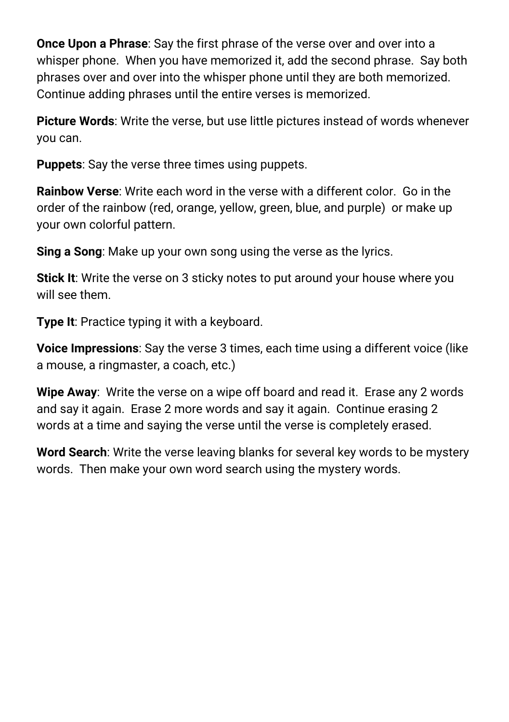**Once Upon a Phrase**: Say the first phrase of the verse over and over into a whisper phone. When you have memorized it, add the second phrase. Say both phrases over and over into the whisper phone until they are both memorized. Continue adding phrases until the entire verses is memorized.

**Picture Words**: Write the verse, but use little pictures instead of words whenever you can.

**Puppets**: Say the verse three times using puppets.

**Rainbow Verse**: Write each word in the verse with a different color. Go in the order of the rainbow (red, orange, yellow, green, blue, and purple) or make up your own colorful pattern.

**Sing a Song**: Make up your own song using the verse as the lyrics.

**Stick It**: Write the verse on 3 sticky notes to put around your house where you will see them.

**Type It**: Practice typing it with a keyboard.

**Voice Impressions**: Say the verse 3 times, each time using a different voice (like a mouse, a ringmaster, a coach, etc.)

**Wipe Away**: Write the verse on a wipe off board and read it. Erase any 2 words and say it again. Erase 2 more words and say it again. Continue erasing 2 words at a time and saying the verse until the verse is completely erased.

**Word Search**: Write the verse leaving blanks for several key words to be mystery words. Then make your own word search using the mystery words.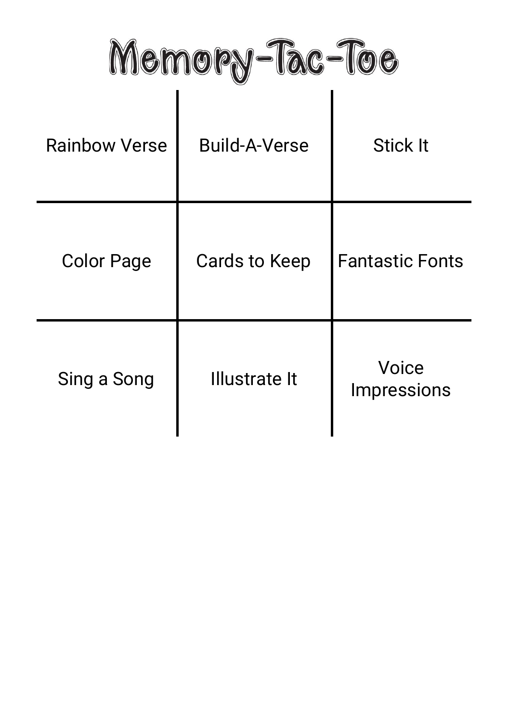Memory-Tac-Toe

 $\overline{1}$ 

| <b>Rainbow Verse</b> | <b>Build-A-Verse</b> | <b>Stick It</b>             |
|----------------------|----------------------|-----------------------------|
| <b>Color Page</b>    | Cards to Keep        | <b>Fantastic Fonts</b>      |
| Sing a Song          | Illustrate It        | Voice<br><b>Impressions</b> |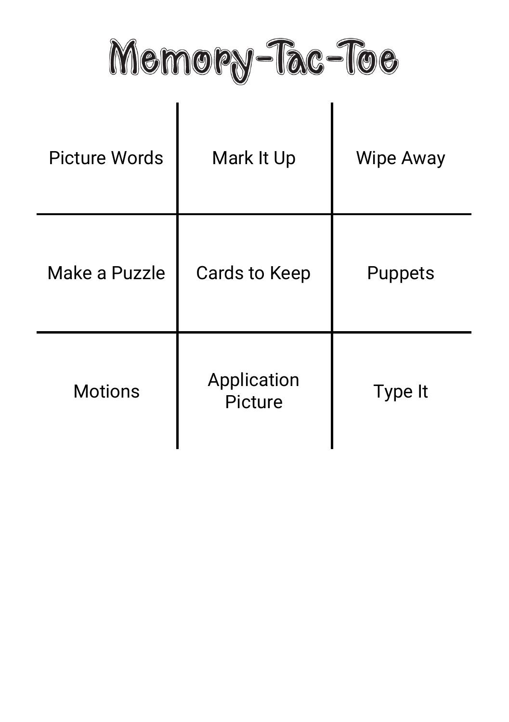Memory-Tac-Toe

| <b>Picture Words</b> | Mark It Up             | <b>Wipe Away</b> |
|----------------------|------------------------|------------------|
| Make a Puzzle        | <b>Cards to Keep</b>   | <b>Puppets</b>   |
| <b>Motions</b>       | Application<br>Picture | Type It          |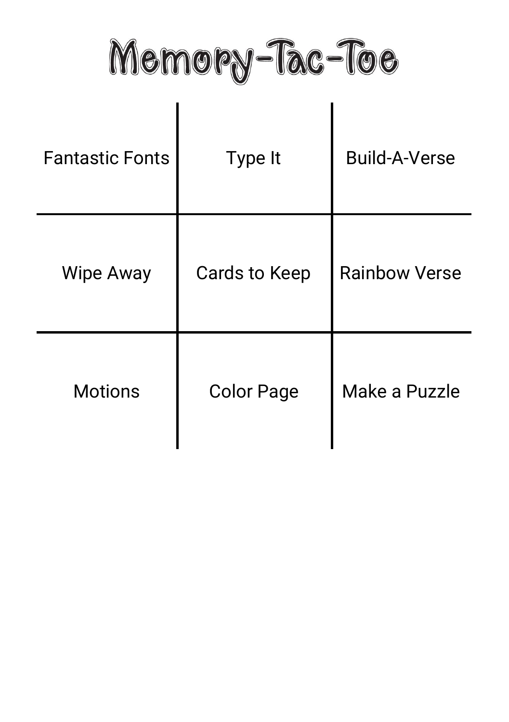Memory-Tac-Toe

| <b>Fantastic Fonts</b> | Type It              | <b>Build-A-Verse</b> |
|------------------------|----------------------|----------------------|
| <b>Wipe Away</b>       | <b>Cards to Keep</b> | <b>Rainbow Verse</b> |
| <b>Motions</b>         | <b>Color Page</b>    | Make a Puzzle        |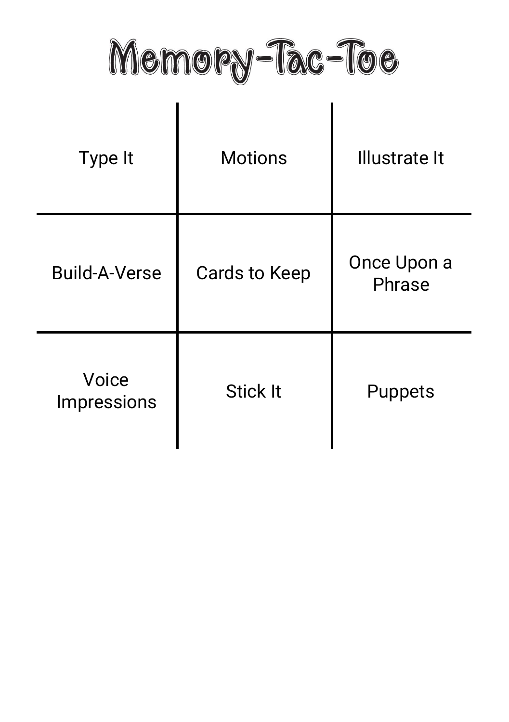Memory-Tac-Toe

| Type It              | <b>Motions</b>       | <b>Illustrate It</b>  |
|----------------------|----------------------|-----------------------|
| <b>Build-A-Verse</b> | <b>Cards to Keep</b> | Once Upon a<br>Phrase |
| Voice<br>Impressions | <b>Stick It</b>      | <b>Puppets</b>        |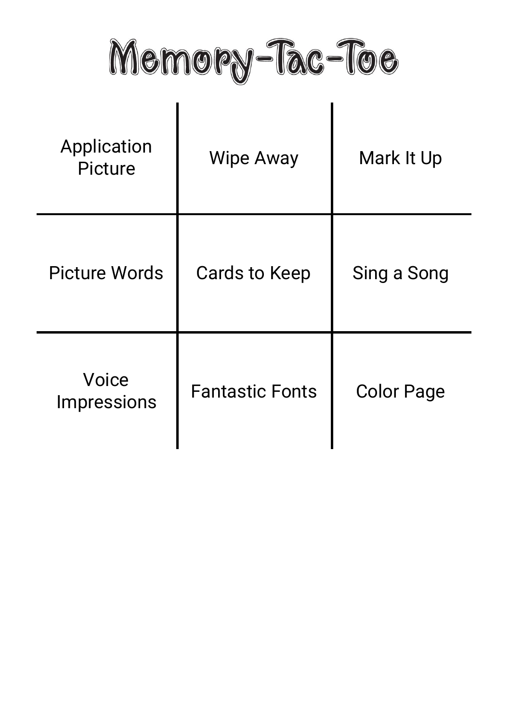Memory-Tac-Toe

| Application<br>Picture      | <b>Wipe Away</b>       | Mark It Up        |
|-----------------------------|------------------------|-------------------|
| <b>Picture Words</b>        | <b>Cards to Keep</b>   | Sing a Song       |
| Voice<br><b>Impressions</b> | <b>Fantastic Fonts</b> | <b>Color Page</b> |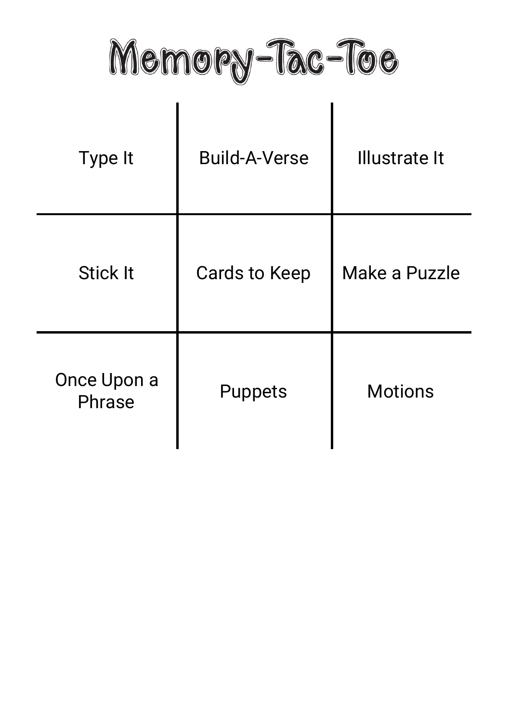Memory-Tac-Toe

| Type It               | <b>Build-A-Verse</b> | <b>Illustrate It</b> |
|-----------------------|----------------------|----------------------|
| <b>Stick It</b>       | <b>Cards to Keep</b> | Make a Puzzle        |
| Once Upon a<br>Phrase | Puppets              | <b>Motions</b>       |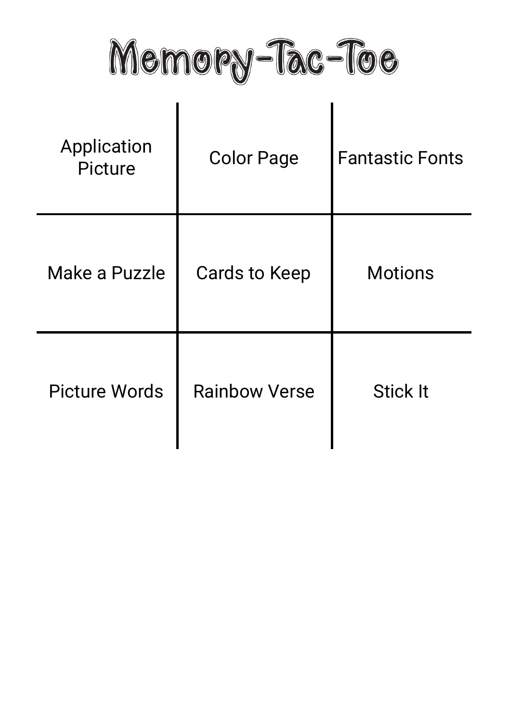Memory-Tac-Toe

| Application<br>Picture | <b>Color Page</b>    | <b>Fantastic Fonts</b> |
|------------------------|----------------------|------------------------|
| Make a Puzzle          | <b>Cards to Keep</b> | <b>Motions</b>         |
| <b>Picture Words</b>   | <b>Rainbow Verse</b> | <b>Stick It</b>        |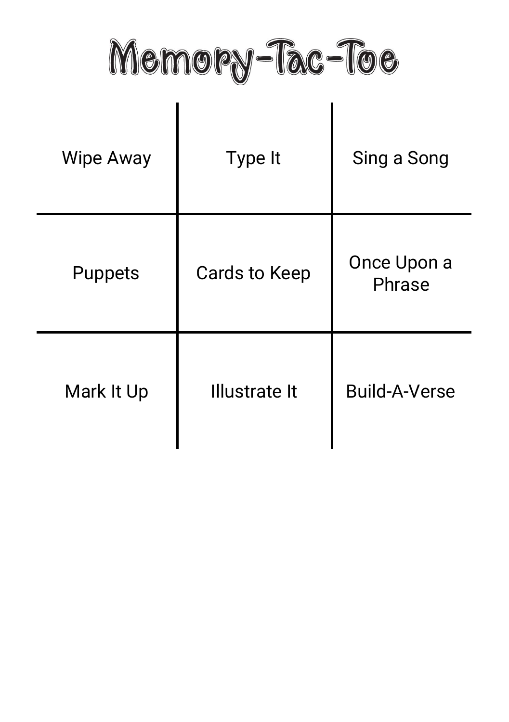Memory-Tac-Toe

| <b>Wipe Away</b> | Type It              | Sing a Song           |
|------------------|----------------------|-----------------------|
| <b>Puppets</b>   | <b>Cards to Keep</b> | Once Upon a<br>Phrase |
| Mark It Up       | Illustrate It        | <b>Build-A-Verse</b>  |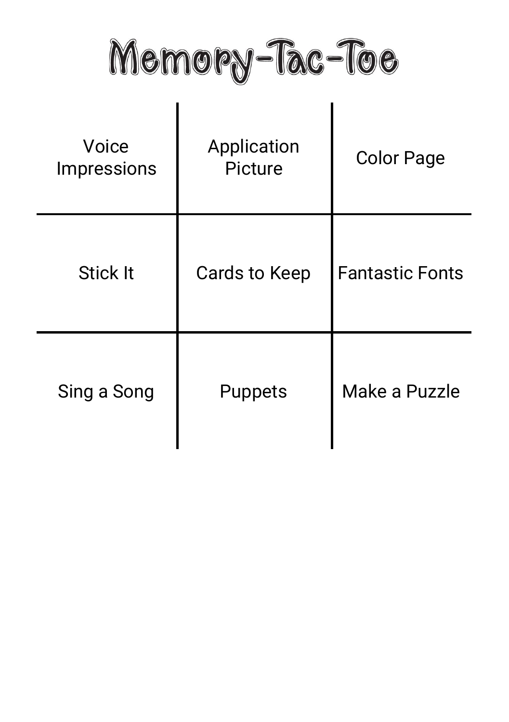Memory-Tac-Toe

| Voice<br><b>Impressions</b> | Application<br>Picture | <b>Color Page</b>      |
|-----------------------------|------------------------|------------------------|
| <b>Stick It</b>             | Cards to Keep          | <b>Fantastic Fonts</b> |
| Sing a Song                 | <b>Puppets</b>         | Make a Puzzle          |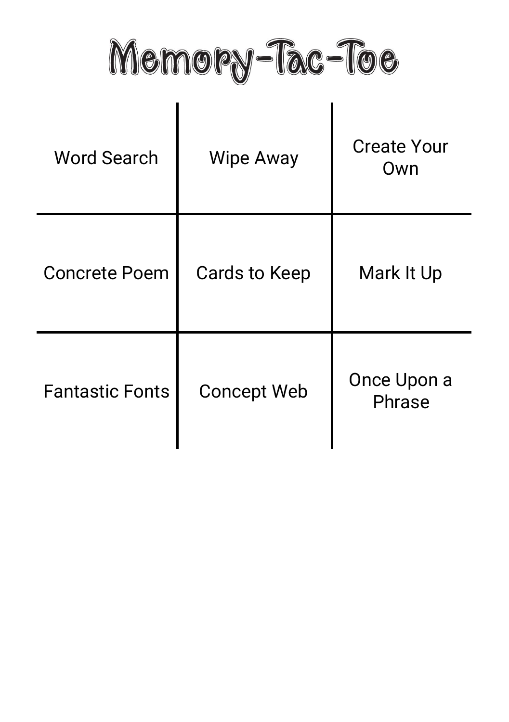Memory-Tac-Toe

| <b>Word Search</b>     | <b>Wipe Away</b>   | <b>Create Your</b><br>Own |
|------------------------|--------------------|---------------------------|
| <b>Concrete Poem</b>   | Cards to Keep      | Mark It Up                |
| <b>Fantastic Fonts</b> | <b>Concept Web</b> | Once Upon a<br>Phrase     |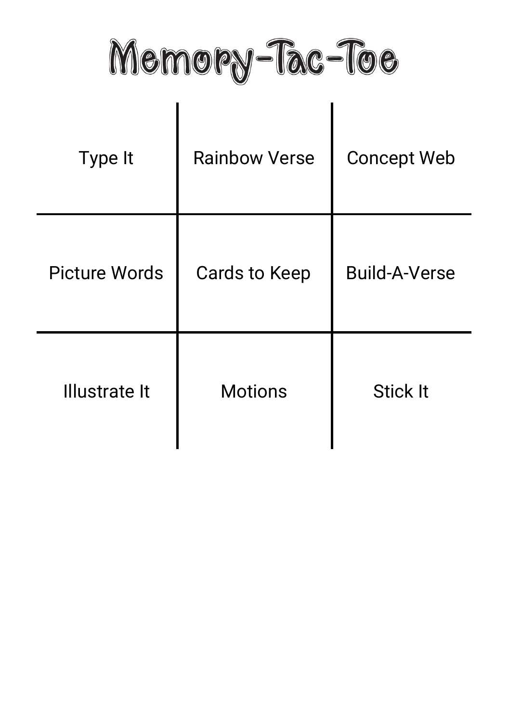Memory-Tac-Toe

| Type It              | <b>Rainbow Verse</b> | <b>Concept Web</b>   |
|----------------------|----------------------|----------------------|
| <b>Picture Words</b> | <b>Cards to Keep</b> | <b>Build-A-Verse</b> |
| <b>Illustrate It</b> | <b>Motions</b>       | <b>Stick It</b>      |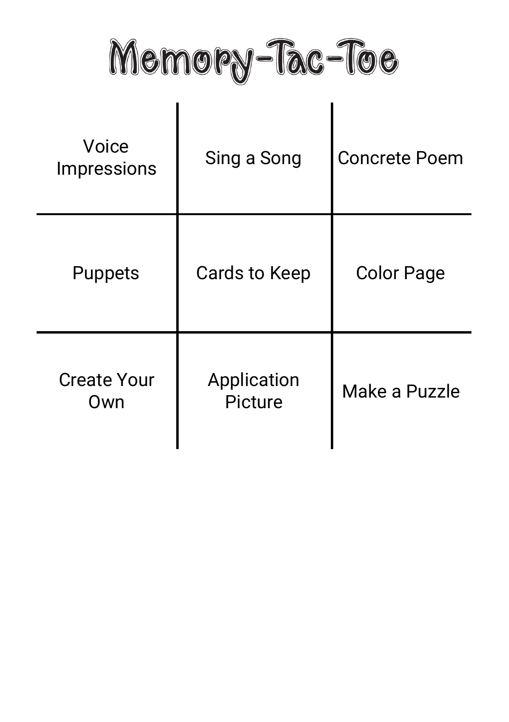Memory-Tac-Toe

| Voice<br>Impressions      | Sing a Song            | <b>Concrete Poem</b> |
|---------------------------|------------------------|----------------------|
| <b>Puppets</b>            | <b>Cards to Keep</b>   | <b>Color Page</b>    |
| <b>Create Your</b><br>Own | Application<br>Picture | Make a Puzzle        |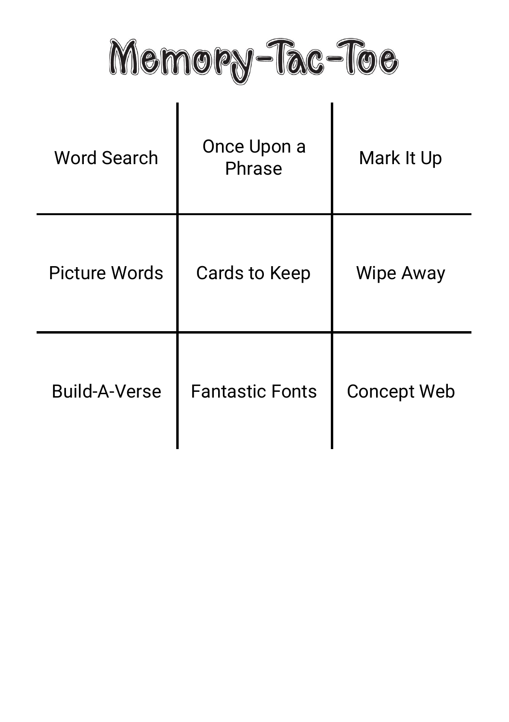Memory-Tac-Toe

| <b>Word Search</b>   | Once Upon a<br>Phrase  | Mark It Up         |
|----------------------|------------------------|--------------------|
| <b>Picture Words</b> | Cards to Keep          | Wipe Away          |
| <b>Build-A-Verse</b> | <b>Fantastic Fonts</b> | <b>Concept Web</b> |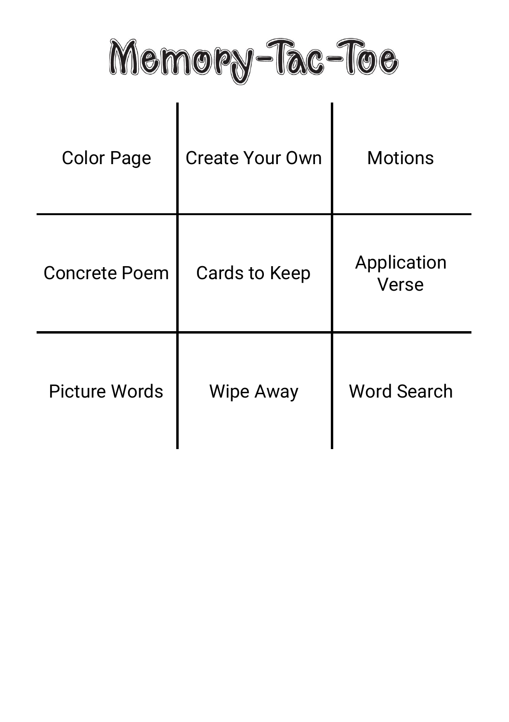Memory-Tac-Toe

| <b>Color Page</b>    | <b>Create Your Own</b> | <b>Motions</b>       |
|----------------------|------------------------|----------------------|
| <b>Concrete Poem</b> | Cards to Keep          | Application<br>Verse |
| <b>Picture Words</b> | <b>Wipe Away</b>       | <b>Word Search</b>   |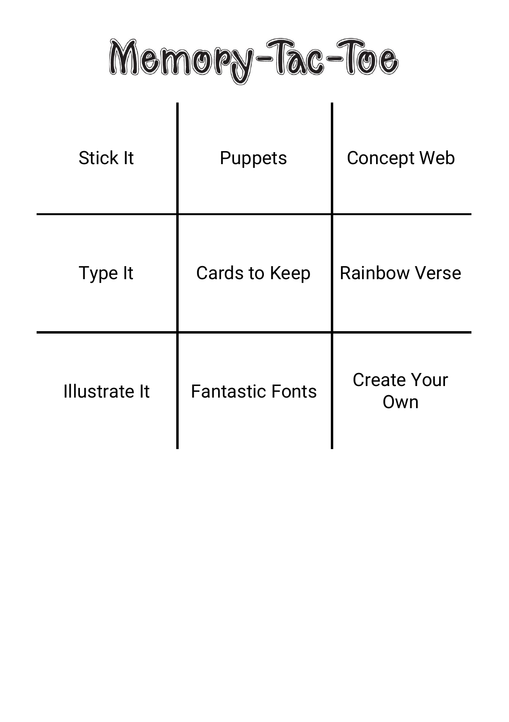Memory-Tac-Toe

| <b>Stick It</b>      | <b>Puppets</b>         | <b>Concept Web</b>        |
|----------------------|------------------------|---------------------------|
| Type It              | <b>Cards to Keep</b>   | <b>Rainbow Verse</b>      |
| <b>Illustrate It</b> | <b>Fantastic Fonts</b> | <b>Create Your</b><br>Own |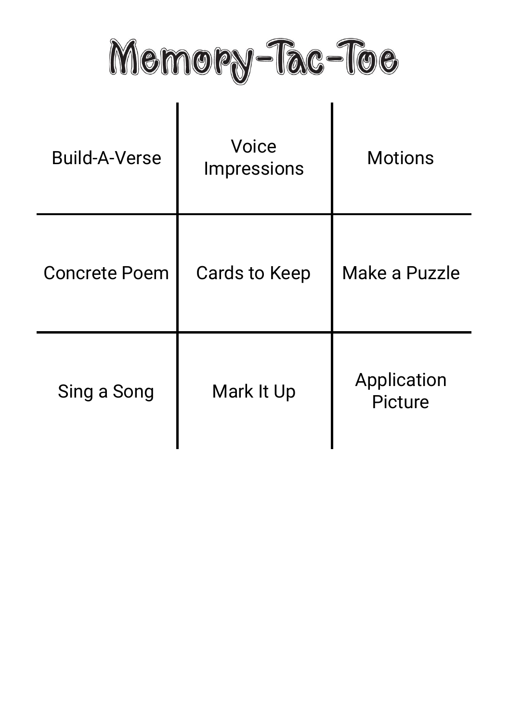Memory-Tac-Toe

| <b>Build-A-Verse</b> | Voice<br><b>Impressions</b> | <b>Motions</b>         |
|----------------------|-----------------------------|------------------------|
| <b>Concrete Poem</b> | Cards to Keep               | Make a Puzzle          |
| Sing a Song          | Mark It Up                  | Application<br>Picture |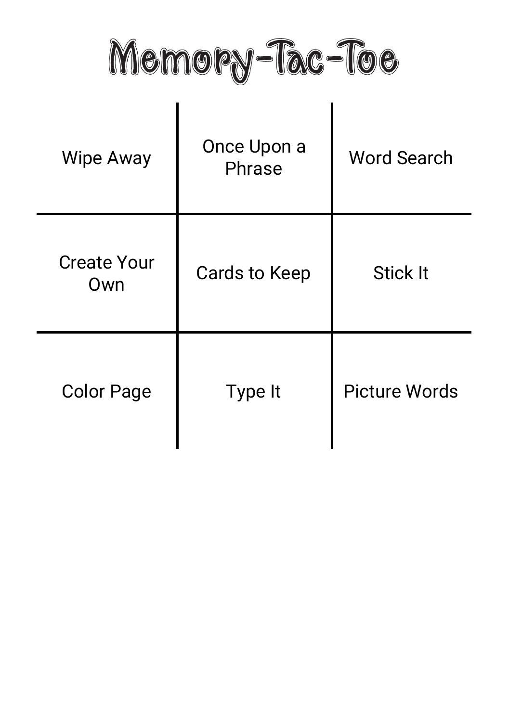Memory-Tac-Toe

| <b>Wipe Away</b>          | Once Upon a<br>Phrase | <b>Word Search</b>   |
|---------------------------|-----------------------|----------------------|
| <b>Create Your</b><br>Own | Cards to Keep         | <b>Stick It</b>      |
| <b>Color Page</b>         | Type It               | <b>Picture Words</b> |